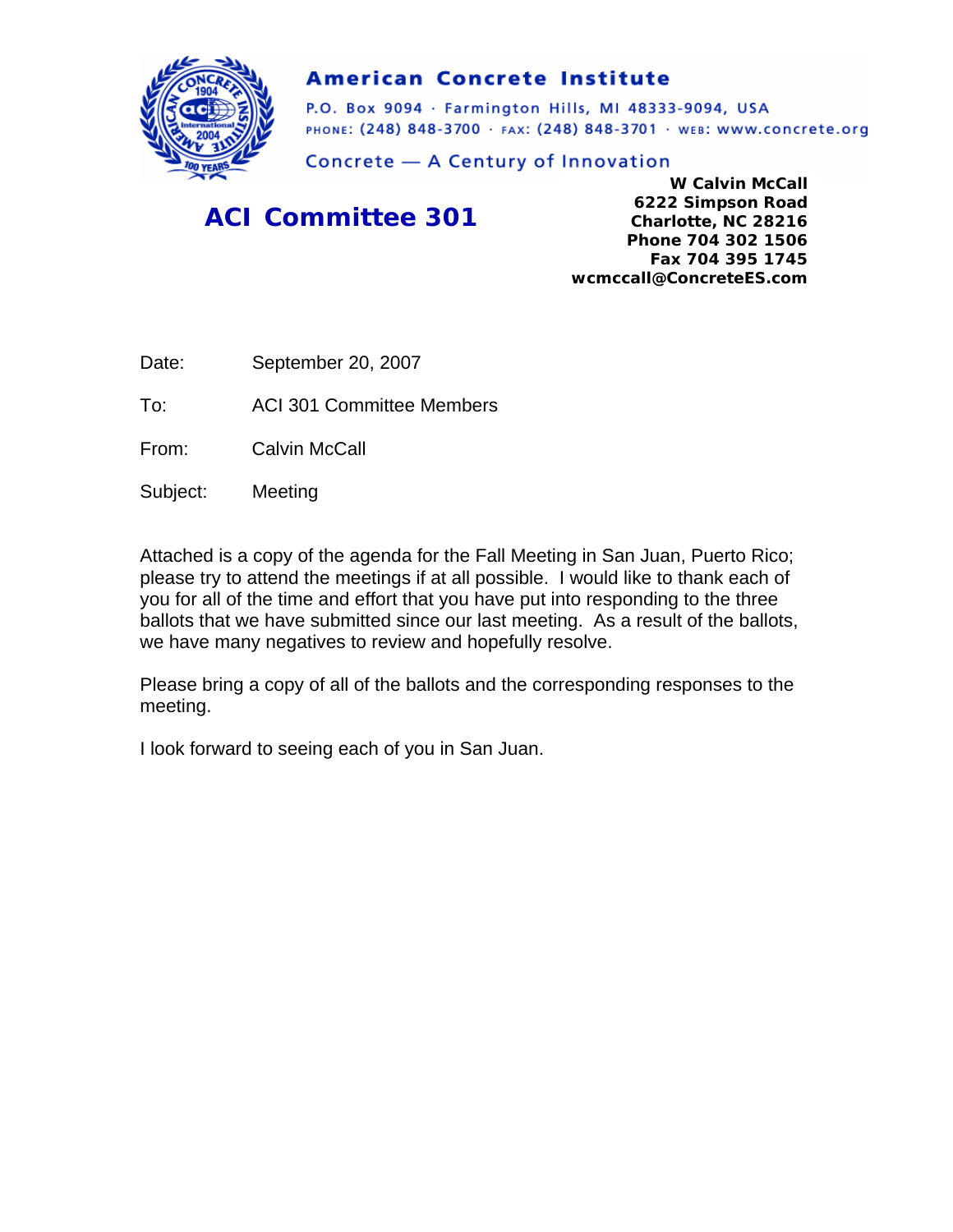

### **American Concrete Institute**

P.O. Box 9094 · Farmington Hills, MI 48333-9094, USA PHONE: (248) 848-3700 · FAX: (248) 848-3701 · WEB: WWW.CONCrete.org

Concrete - A Century of Innovation

### *ACI Committee 301*

**W Calvin McCall 6222 Simpson Road Charlotte, NC 28216 Phone 704 302 1506 Fax 704 395 1745 wcmccall@ConcreteES.com** 

Date: September 20, 2007

To: ACI 301 Committee Members

From: Calvin McCall

Subject: Meeting

Attached is a copy of the agenda for the Fall Meeting in San Juan, Puerto Rico; please try to attend the meetings if at all possible. I would like to thank each of you for all of the time and effort that you have put into responding to the three ballots that we have submitted since our last meeting. As a result of the ballots, we have many negatives to review and hopefully resolve.

Please bring a copy of all of the ballots and the corresponding responses to the meeting.

I look forward to seeing each of you in San Juan.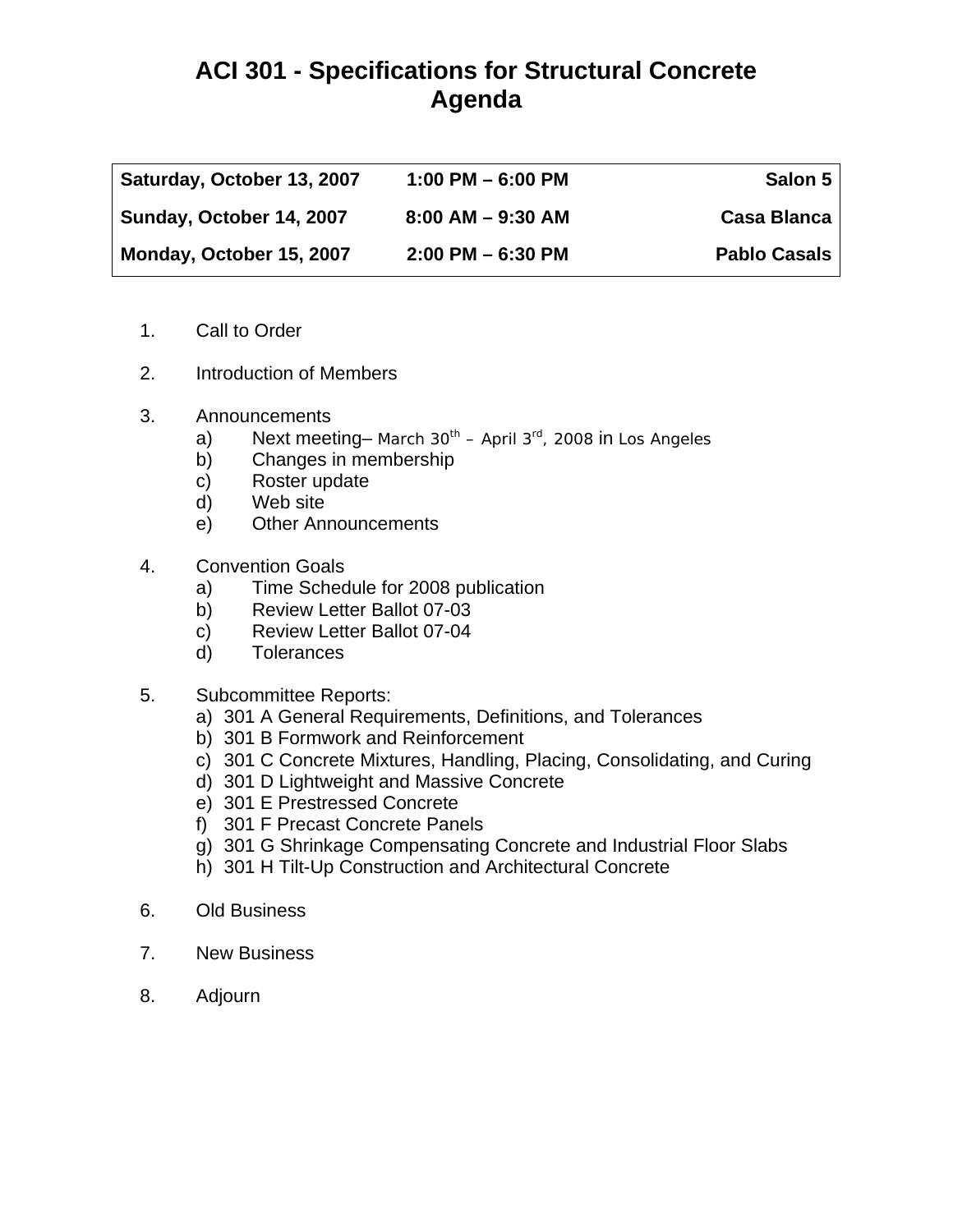## **ACI 301 - Specifications for Structural Concrete Agenda**

| Saturday, October 13, 2007 | $1:00$ PM $-6:00$ PM | Salon 5             |
|----------------------------|----------------------|---------------------|
| Sunday, October 14, 2007   | $8:00$ AM $-9:30$ AM | <b>Casa Blanca</b>  |
| Monday, October 15, 2007   | $2:00$ PM $-6:30$ PM | <b>Pablo Casals</b> |

- 1. Call to Order
- 2. Introduction of Members
- 3. Announcements
	- a) Next meeting– March  $30^{th}$  April  $3^{rd}$ , 2008 in Los Angeles
	- b) Changes in membership
	- c) Roster update
	- d) Web site
	- e) Other Announcements
- 4. Convention Goals
	- a) Time Schedule for 2008 publication
	- b) Review Letter Ballot 07-03
	- c) Review Letter Ballot 07-04
	- d) Tolerances
- 5. Subcommittee Reports:
	- a) 301 A General Requirements, Definitions, and Tolerances
	- b) 301 B Formwork and Reinforcement
	- c) 301 C Concrete Mixtures, Handling, Placing, Consolidating, and Curing
	- d) 301 D Lightweight and Massive Concrete
	- e) 301 E Prestressed Concrete
	- f) 301 F Precast Concrete Panels
	- g) 301 G Shrinkage Compensating Concrete and Industrial Floor Slabs
	- h) 301 H Tilt-Up Construction and Architectural Concrete
- 6. Old Business
- 7. New Business
- 8. Adjourn